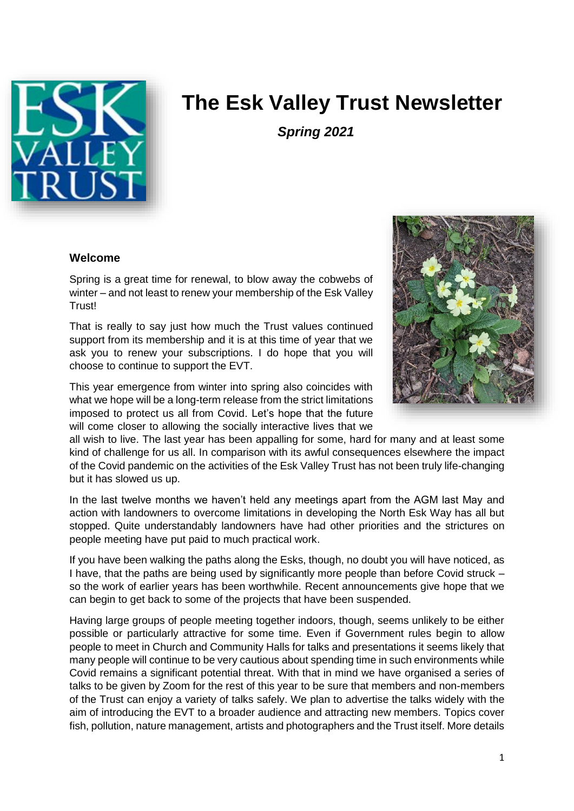

# **The Esk Valley Trust Newsletter**

*Spring 2021*

#### **Welcome**

Spring is a great time for renewal, to blow away the cobwebs of winter – and not least to renew your membership of the Esk Valley Trust!

That is really to say just how much the Trust values continued support from its membership and it is at this time of year that we ask you to renew your subscriptions. I do hope that you will choose to continue to support the EVT.

This year emergence from winter into spring also coincides with what we hope will be a long-term release from the strict limitations imposed to protect us all from Covid. Let's hope that the future will come closer to allowing the socially interactive lives that we



all wish to live. The last year has been appalling for some, hard for many and at least some kind of challenge for us all. In comparison with its awful consequences elsewhere the impact of the Covid pandemic on the activities of the Esk Valley Trust has not been truly life-changing but it has slowed us up.

In the last twelve months we haven't held any meetings apart from the AGM last May and action with landowners to overcome limitations in developing the North Esk Way has all but stopped. Quite understandably landowners have had other priorities and the strictures on people meeting have put paid to much practical work.

If you have been walking the paths along the Esks, though, no doubt you will have noticed, as I have, that the paths are being used by significantly more people than before Covid struck – so the work of earlier years has been worthwhile. Recent announcements give hope that we can begin to get back to some of the projects that have been suspended.

Having large groups of people meeting together indoors, though, seems unlikely to be either possible or particularly attractive for some time. Even if Government rules begin to allow people to meet in Church and Community Halls for talks and presentations it seems likely that many people will continue to be very cautious about spending time in such environments while Covid remains a significant potential threat. With that in mind we have organised a series of talks to be given by Zoom for the rest of this year to be sure that members and non-members of the Trust can enjoy a variety of talks safely. We plan to advertise the talks widely with the aim of introducing the EVT to a broader audience and attracting new members. Topics cover fish, pollution, nature management, artists and photographers and the Trust itself. More details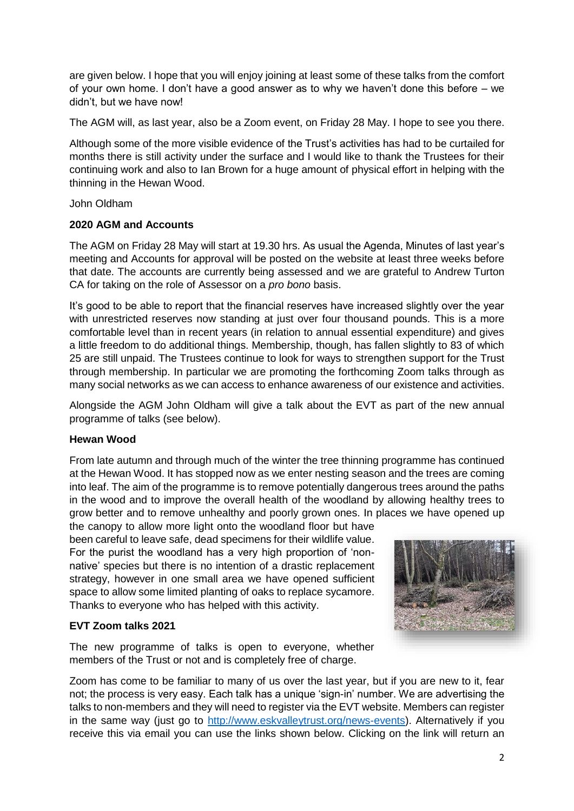are given below. I hope that you will enjoy joining at least some of these talks from the comfort of your own home. I don't have a good answer as to why we haven't done this before – we didn't, but we have now!

The AGM will, as last year, also be a Zoom event, on Friday 28 May. I hope to see you there.

Although some of the more visible evidence of the Trust's activities has had to be curtailed for months there is still activity under the surface and I would like to thank the Trustees for their continuing work and also to Ian Brown for a huge amount of physical effort in helping with the thinning in the Hewan Wood.

John Oldham

## **2020 AGM and Accounts**

The AGM on Friday 28 May will start at 19.30 hrs. As usual the Agenda, Minutes of last year's meeting and Accounts for approval will be posted on the website at least three weeks before that date. The accounts are currently being assessed and we are grateful to Andrew Turton CA for taking on the role of Assessor on a *pro bono* basis.

It's good to be able to report that the financial reserves have increased slightly over the year with unrestricted reserves now standing at just over four thousand pounds. This is a more comfortable level than in recent years (in relation to annual essential expenditure) and gives a little freedom to do additional things. Membership, though, has fallen slightly to 83 of which 25 are still unpaid. The Trustees continue to look for ways to strengthen support for the Trust through membership. In particular we are promoting the forthcoming Zoom talks through as many social networks as we can access to enhance awareness of our existence and activities.

Alongside the AGM John Oldham will give a talk about the EVT as part of the new annual programme of talks (see below).

# **Hewan Wood**

From late autumn and through much of the winter the tree thinning programme has continued at the Hewan Wood. It has stopped now as we enter nesting season and the trees are coming into leaf. The aim of the programme is to remove potentially dangerous trees around the paths in the wood and to improve the overall health of the woodland by allowing healthy trees to grow better and to remove unhealthy and poorly grown ones. In places we have opened up

the canopy to allow more light onto the woodland floor but have been careful to leave safe, dead specimens for their wildlife value. For the purist the woodland has a very high proportion of 'nonnative' species but there is no intention of a drastic replacement strategy, however in one small area we have opened sufficient space to allow some limited planting of oaks to replace sycamore. Thanks to everyone who has helped with this activity.

# **EVT Zoom talks 2021**

The new programme of talks is open to everyone, whether members of the Trust or not and is completely free of charge.



Zoom has come to be familiar to many of us over the last year, but if you are new to it, fear not; the process is very easy. Each talk has a unique 'sign-in' number. We are advertising the talks to non-members and they will need to register via the EVT website. Members can register in the same way (just go to [http://www.eskvalleytrust.org/news-events\)](http://www.eskvalleytrust.org/news-events). Alternatively if you receive this via email you can use the links shown below. Clicking on the link will return an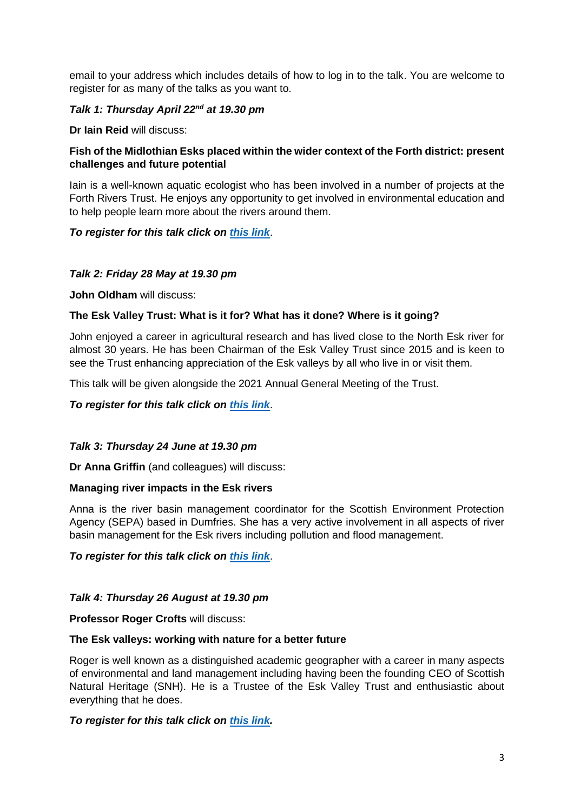email to your address which includes details of how to log in to the talk. You are welcome to register for as many of the talks as you want to.

# *Talk 1: Thursday April 22nd at 19.30 pm*

**Dr Iain Reid** will discuss:

## **Fish of the Midlothian Esks placed within the wider context of the Forth district: present challenges and future potential**

Iain is a well-known aquatic ecologist who has been involved in a number of projects at the Forth Rivers Trust. He enjoys any opportunity to get involved in environmental education and to help people learn more about the rivers around them.

## *To register for this talk click on [this link](https://zoom.us/meeting/register/tJYsd-uupzoqGN17RZfUbSstlLMlLmmGPE3w)*.

## *Talk 2: Friday 28 May at 19.30 pm*

**John Oldham** will discuss:

## **The Esk Valley Trust: What is it for? What has it done? Where is it going?**

John enjoyed a career in agricultural research and has lived close to the North Esk river for almost 30 years. He has been Chairman of the Esk Valley Trust since 2015 and is keen to see the Trust enhancing appreciation of the Esk valleys by all who live in or visit them.

This talk will be given alongside the 2021 Annual General Meeting of the Trust.

*To register for this talk click on [this link](https://zoom.us/meeting/register/tJElc--upzMtH9MKx_kJQ7UXAtFM9VtZxG8V)*.

## *Talk 3: Thursday 24 June at 19.30 pm*

**Dr Anna Griffin** (and colleagues) will discuss:

## **Managing river impacts in the Esk rivers**

Anna is the river basin management coordinator for the Scottish Environment Protection Agency (SEPA) based in Dumfries. She has a very active involvement in all aspects of river basin management for the Esk rivers including pollution and flood management.

*To register for this talk click on [this link](https://zoom.us/meeting/register/tJwud-CprD0oGtbYyOVLSgGD_FHN-SxJuEap)*.

## *Talk 4: Thursday 26 August at 19.30 pm*

**Professor Roger Crofts** will discuss:

## **The Esk valleys: working with nature for a better future**

Roger is well known as a distinguished academic geographer with a career in many aspects of environmental and land management including having been the founding CEO of Scottish Natural Heritage (SNH). He is a Trustee of the Esk Valley Trust and enthusiastic about everything that he does.

## *To register for this talk click on [this link.](https://zoom.us/meeting/register/tJUkcu-hrjIiGtOoTI9Ghr3Lv2mhbIuBW0fL)*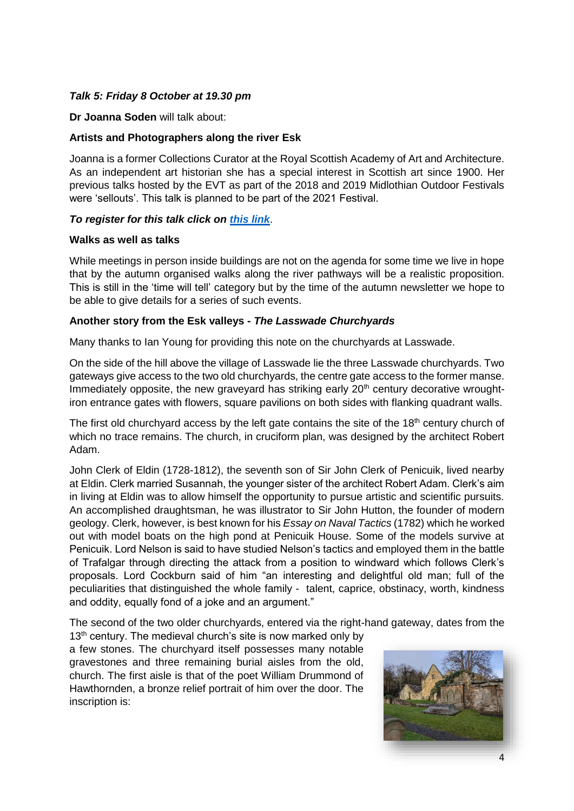## *Talk 5: Friday 8 October at 19.30 pm*

#### **Dr Joanna Soden** will talk about:

## **Artists and Photographers along the river Esk**

Joanna is a former Collections Curator at the Royal Scottish Academy of Art and Architecture. As an independent art historian she has a special interest in Scottish art since 1900. Her previous talks hosted by the EVT as part of the 2018 and 2019 Midlothian Outdoor Festivals were 'sellouts'. This talk is planned to be part of the 2021 Festival.

## *To register for this talk click on [this link](https://zoom.us/meeting/register/tJIpf-CvrT8pHtJsp88EXE2C1nDiucZjZRXZ)*.

#### **Walks as well as talks**

While meetings in person inside buildings are not on the agenda for some time we live in hope that by the autumn organised walks along the river pathways will be a realistic proposition. This is still in the 'time will tell' category but by the time of the autumn newsletter we hope to be able to give details for a series of such events.

#### **Another story from the Esk valleys -** *The Lasswade Churchyards*

Many thanks to Ian Young for providing this note on the churchyards at Lasswade.

On the side of the hill above the village of Lasswade lie the three Lasswade churchyards. Two gateways give access to the two old churchyards, the centre gate access to the former manse. Immediately opposite, the new graveyard has striking early 20<sup>th</sup> century decorative wroughtiron entrance gates with flowers, square pavilions on both sides with flanking quadrant walls.

The first old churchyard access by the left gate contains the site of the  $18<sup>th</sup>$  century church of which no trace remains. The church, in cruciform plan, was designed by the architect Robert Adam.

John Clerk of Eldin (1728-1812), the seventh son of Sir John Clerk of Penicuik, lived nearby at Eldin. Clerk married Susannah, the younger sister of the architect Robert Adam. Clerk's aim in living at Eldin was to allow himself the opportunity to pursue artistic and scientific pursuits. An accomplished draughtsman, he was illustrator to Sir John Hutton, the founder of modern geology. Clerk, however, is best known for his *Essay on Naval Tactics* (1782) which he worked out with model boats on the high pond at Penicuik House. Some of the models survive at Penicuik. Lord Nelson is said to have studied Nelson's tactics and employed them in the battle of Trafalgar through directing the attack from a position to windward which follows Clerk's proposals. Lord Cockburn said of him "an interesting and delightful old man; full of the peculiarities that distinguished the whole family - talent, caprice, obstinacy, worth, kindness and oddity, equally fond of a joke and an argument."

The second of the two older churchyards, entered via the right-hand gateway, dates from the

 $13<sup>th</sup>$  century. The medieval church's site is now marked only by a few stones. The churchyard itself possesses many notable gravestones and three remaining burial aisles from the old, church. The first aisle is that of the poet William Drummond of Hawthornden, a bronze relief portrait of him over the door. The inscription is: